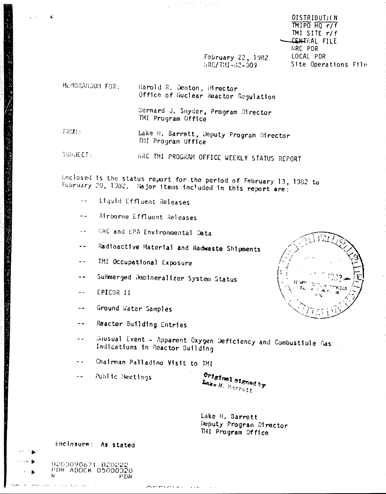**DISTRIBUTION**  $MIPO$   $HO$   $r/f$ TMI SITE  $r/f$ CENTRAL FILE **IRC PDR** LOCAL PDR Site Operations File

February 22, 1982  $URC/T111 - 32 - 909$ 

MEMORANDUM FOR:

Harold R. Denton, Director Office of Huclear Reactor Regulation

Sernard J. Snyder, Program Birector TMI Program Office

 $T201$ 

Lake H. Barrett, Deputy Program Director THI Program Office

**SUBJECT-**

HAC THI PROGRAM OFFICE WEEKLY STATUS REPORT

Enclosed is the status report for the period of February 13, 1982 to February 20, 1982. Najor items included in this report are:

- Liquid Effluent Releases  $\sim$   $\sim$
- Airborne Effluent Releases  $-$
- HRC and EPA Environmental Data  $\sim$   $\sim$
- Radioactive Material and Radwaste Shipments  $\frac{1}{2}$
- TMI Occupational Exposure  $-1$
- Submerged Demineralizer System Status  $\overline{a}$
- EPICOR II  $\overline{a}$
- Ground Water Samples  $\frac{1}{2}$
- Reactor Building Entries  $-1$
- Unusual Event Apparent Oxygen Deficiency and Combustible Gas:  $\sim$   $\sim$ Indications in Reactor Building
- Chairman Palladino Visit to TMI  $\sim$   $\sim$
- Public Heetings

Original signed by Lake H. Barrott

Lake H. Barrett Deputy Program Director THI Program Office



Enclosure: As stated

9203090671-8202 PDR ADOCK 05000320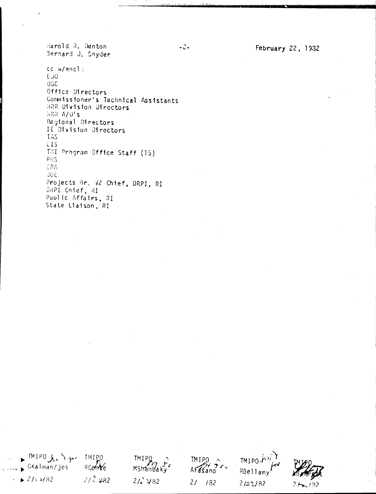Harold R. Denton Bernard J. Snyder

cc w/encl: EU0 ogc Office Directors Consaissioner's Technical Assistants HRR Division Directors *KRR A/O's* Regional Directors IE Division Directors TAS EIS TAI Program Office Staff (15) pys EPA **JOE** Projects Br. #2 Chief, DRPI, RI DRPI Chief, RI Public Affairs, RI State Liaison, RI

 $182$ 

MIPO les just TMIPO TMIPO.AV TMIP0 **TM I PO**  $\sim$  GKalman/jes  $RCOWe$ Mstrandaky<sup>+</sup> AFasano RBellamy  $+21.482$  $2/2.482$  $212482$  $2/782$  $2/22/82$ 

 $-2-$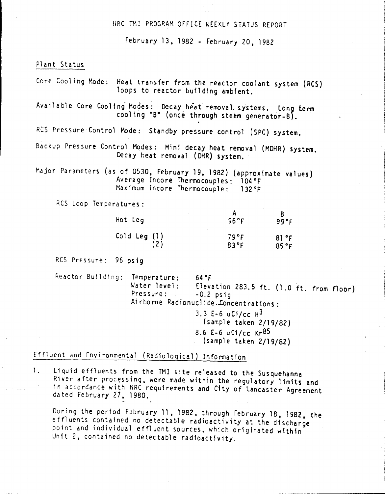#### HRC TMI PROGRAM OFFICE WEEKLY STATUS REPORT

February 13,1982 - February 20.1982

#### Plant Status

Core Cooling Mode: Heat transfer frcm the reactor coolant system (RCS) loops to reactor building ambient.

Available Core Cooling Modes: Decay heat removal systems. Long term cool ing "B" (once through steam generator-B).

RCS Pressure Control Mode: Standby pressure control (SPC) system.

Backup Pressure Control Modes: Mini decay heat removal (MOHR) system. Decay heat removal (OHR) system.

Hajor Parameters (as of 0530. February 19,1982) (approximate values) Average Incore Thermocouples: 104°F Maximum Incore Thermocouple: 132°F

Res Loop Temperatures:

| Hot Leg      | 96°F            | 99°F           |
|--------------|-----------------|----------------|
| Cold Leg (1) | 79°F<br>$83$ °F | 81 °F<br>85 °F |

Res Pressure: 96 psig

Reactor Building: Temperature: 64°F Water level: Elevation 283.5 ft.  $(1.0 \text{ ft. from floor})$ <br>Pressure:  $-0.2 \text{ psio}$  $-0.2$  psig Airborne Radionuclide.Loncentrations: 3.3 E-6  $uCi/cc$   $H^3$ (sample taken 2/19/82) 8.6 E-6  $u$ Ci/cc Kr<sup>85</sup> (sample taken 2/19/82)

# Effluent and Environmental (Radiological) Information

1. Liquid effluents from the TMI site released to the Susquehanna River after processing, were made within the regulatory limits and in accordance with NRC requirements and City of Lancaster Agreement dated February 27, 1980.

During the period F2bruary 11.1982, through February 18. 1982. the effluents contained no detectable radioactivity at the discharge point and individual effluent sources, which originated within Unit 2, contained no detectable radioactivity.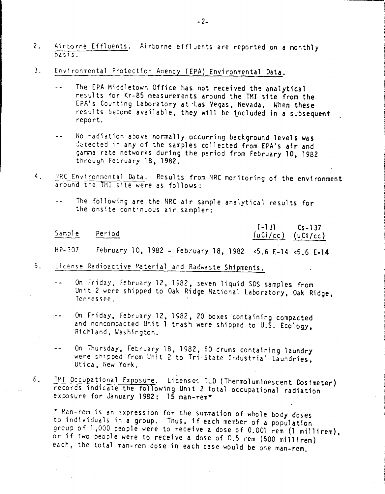- $2.$ Airtorne Effluents. Airborne effluents are reported on a monthly  $basis$
- $3<sub>1</sub>$ Environmental Protection Agency (EPA) Environmental Data.
	- The EPA Middletown Office has not received the analytical  $$ results for Kr-85 measurements around the TMI site from the EPA's Counting Laboratory at Las Vegas, Nevada. When these results become available, they will be included in a subsequent report.
	- No radiation above normally occurring background levels was  $-1$ detected in any of the samples collected from EPA's air and gamma rate networks during the period from February 10, 1982 through February 18, 1982.
- NRC Environmental Data. Results from NRC monitoring of the environment  $4.$ around the TMI site were as follows:
	- The following are the NRC air sample analytical results for  $\overline{a}$ the onsite continuous air sampler:

| Sample Period |                                                           | $I-131$ $Cs-137$ | $(uCi/cc)$ $(uCi/cc)$ |
|---------------|-----------------------------------------------------------|------------------|-----------------------|
| HP-307        | February 10, 1982 - February 18, 1982 <5.6 E-14 <5.6 F-14 |                  |                       |

- $5.$ License Radioactive Material and Radwaste Shipments.
	- On Friday, February 12, 1982, seven liquid SDS samples from  $\sim$ Unit 2 were shipped to Oak Ridge National Laboratory, Oak Ridge, Tennessee.
	- On Friday, February 12, 1982, 20 boxes containing compacted  $\sim$   $\sim$ and noncompacted Unit 1 trash were shipped to U.S. Ecology, Richland, Washington.
	- On Thursday, February 18, 1982, 60 drums containing laundry  $\sim$   $\sim$ were shipped from Unit 2 to Tri-State Industrial Laundries, Utica, New York.
- TMI Occupational Exposure. Licenses TLD (Thermoluminescent Dosimeter) 6. records indicate the following Unit 2 total occupational radiation exposure for January 1982: 15 man-rem\*

\* Man-rem is an expression for the summation of whole body doses to individuals in a group. Thus, if each member of a population group of 1.000 people were to receive a dose of 0.001 rem (1 millirem). or if two people were to receive a dose of 0.5 rem (500 millirem) each, the total man-rem dose in each case would be one man-rem.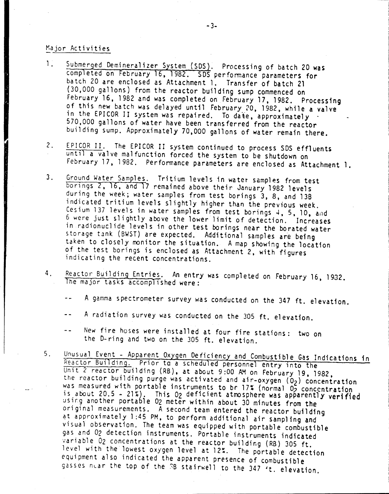#### Major Activities

- 1. Submerged Demineralizer System (SDS). Processing of batch 20 was completed on February 16, 1982. SDS performance parameters for batch 20 are enclosed as Attachment 1. Transfer of batch 21 (30,000 gallons) from the reactor building sump commenced on February 16,1982 and was completed on February 17,1982. Processing of this new batch was delayed until February 20, 1982, while a valve in the EPICOR II system was repaired. To date, approximately 570,000 gallons of water have been transferred from the reactor building sump. Approximately 70.000 gallons of water remain there.
- 2. EPICOR II. The EPICOR II system continued to process 50S effluents until a valve malfunction forced the system to be shutdown on February 17, 1982. Performance parameters are enclosed as Attachment 1.
- 3. Ground Water Samples. Tritium levels in water samples from test borings 2, 16, and 17 remained above their January 1982 levels during the week; water samples from test borings 3, 8, and 136 indicated tritium levels slightly higher than the previous week. Cesium 137 levels in water samples from test borings 4, 5, 10, and 6 were just slightly above the lower limit of detection. Increases in radionuclide levels in other test borings near the borated water storage tank (BWST) are expected. Additional samples are being taken to closely monitor the situation. A map showing the location of the test borings is enclosed as Attachment 2, with figures indicating the recent concentrations.
- 4. Reactor Building Entries. An entry was completed on February 16, 1932. The major tasks accomplished were:
	- A gamma spectrometer survey was conducted on the 347 ft. elevation.
	- A radiation survey was conducted on the 305 ft. elevation.
	- New fire hoses were installed at four fire stations: two on  $\sim$   $\sim$ the D-ring and two on the 305 ft. elevation.
- 5. Unusual Event Apparent Oxygen Deficiency and Combustible Gas Indications in Reactor Building. Prior to a scheduled personnel entry into the Unit 2 reactor building (RB), at about 9:00 AM on February 19, 1982, the reactor building purge was activated and air-oxygen (02) concentration was measured with portable instruments to br 17% (normal 02 concentration is about 20.5 - 21%). This 02 deficient atmosphere was apparently verified usirg another portable 02 meter within about 30 minutes from the original measurements. A second team entered the reactor building at approximately 1 :45 PM, to perform additional air samp1 ing and visual observation. The team was equipped with portable combustible gas and 02 detection instruments. Portable instruments indicated variable 02 concentrations at the reactor building (RB) 305 ft. level with the lowest oxygen level at 12%. The portable detection equipment also indicated the apparent presence of combustible gasses nuar the top of the 3B stairwell to the 347 't. elevation.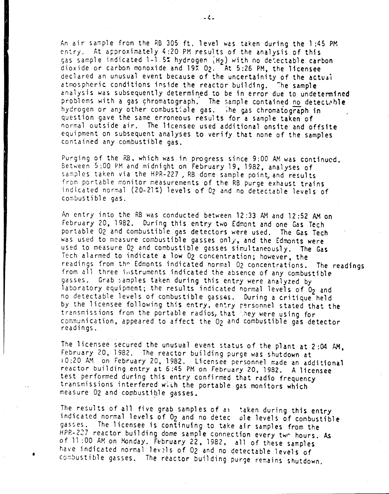An air sample from the RB 305 ft. level was taken during the 1:45 PM entry. At approximately 4:20 PM results of the analysis of this gas sample indicated 1-1.5% hydrogen (H2) with no detectable carbon dioxide or carbon monoxide and 19% 02. At 5:26 PM, the licensee declared an unusual event because of the uncertainity of the actual atmospheric conditions inside the reactor building. The sample analysis was subsequently determined to be in error due to undetermined problems with a gas chromatograph. The sample contained no detectable hydrogen or any other combustiole gas. The gas chromatograph in question gave the same erroneous results for a sample taken of normal outside air. The licensee used additional onsite and offsite equipment on subsequent analyses to verify that none of the samples contained any combustible gas.

Purging of the RE, which was in progress since 9:00 AM was continued. Between 5:00 PM and midnight on February 19, 1982, analyses of samples taken via the HPR-227, RB dome sample point, and results from portable monitor measurements of the RB purge exhaust trains indicated normal (20-21%) levels of 02 and no detectable levels of combustible gas.

An entry into the RB was conducted between 12:33 AM and 12:52 AM on February 20, 1982. During this entry two Edmont and one Gas Tech portable 02 and combustible gas detectors were used. The Gas Tech was used to measure combustible gasses only, and the Edmonts were used to measure O<sub>2</sub> and combustible gasses simultaneously. The Gas Tech alarmed to indicate a low 02 concentration; however, the readings from the Edmonts indicated normal 02 concentrations. The readings from all three instruments indicated the absence of any combustible gasses. Grab samples taken during this entry were analyzed by laboratory equipment; the results indicated normal levels of O<sub>2</sub> and no detectable levels of combustible gasses. During a critique held by the licensee following this entry, entry personnel stated that the transmissions from the portable radios) that *'.hey* were using for communication, appeared to affect the O<sub>2</sub> and combustible gas detector readings.

The licensee secured the unusual event status of the plant at  $2:04$   $AM<sub>s</sub>$ February 20, 1982. The reactor building purge was shutdown at 10:20 AM on February 20, 1982. Licensee personnel made an additional reactor building entry at 6:45 PM on February 20, 1982. A licensee test performed during this entry confirmed that radio frequency transmissions interfered with the portable gas monitors which measure O<sub>2</sub> and combustible gasses.

The results of all five grab samples of all taken during this entry indicated normal levels of O<sub>2</sub> and no detec ole levels of combustible gasses. The licensee is continuing to take air samples from the HPP.-227 reactor building dome sample connection every twr hours. As of 11:00 AM on Monday. February 22, 1982, all of these samples have indicated normal levels of 02 and no detectable levels of combustible gasses. The reactor building purge remains shutdown.

•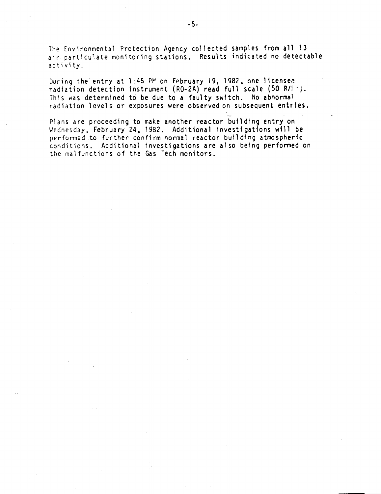The Environmental Protection Agency collected samples from all 13 ait particulate monitoring stations. Results indicated no detectable activity.

During the entry at 1:45 PM on February 19, 1982, one licensed radiation detection instrument (RO-2A) read full scale (50 R/I-). This was determined to be due to a faulty switch. No abnormal radiation levels or exposures were observed on subsequent entries.

\_. - Plans are proceeding to make another reactor building entry on Wednesday, February 24,1982. Additional investigations will be performed to further confirm normal reactor building atmospheric conditions. Additional investigations are also being performed on the mal functions of the Gas Tech monitors.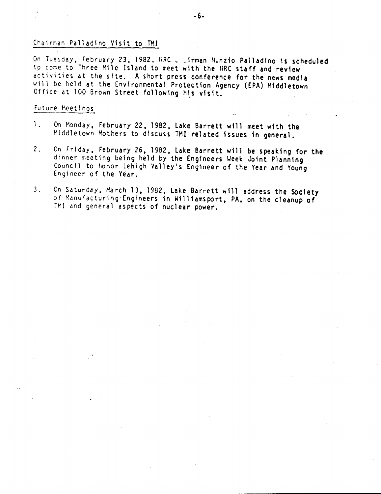#### Chairman Palladino Visit to TMI

On Tuesday, February 23, 1982. NRC & \_irman Nunzio Palladino is scheduled to come to Three Mile Island to meet with the NRC staff and review activities at the site. A short press conference for the news media will be held at the Environmental Protection Agency (EPA) Middletown Office at 100 Brown Street following his visit.

#### Future Meetings

- 1. On Monday, February 22, 1982, Lake Barrett will meet with the Middletown Mothers to discuss TMI related issues in general.
- 2. On Friday, February 26, 1982, Lake Barrett will be speaking for the dinner meeting being held by the Engineers Week Joint Planning Council to honor Lehigh Valley's Engineer of the Year and Young Engineer of the Year.
- 3. On Saturday, March 13, 1982, Lake Barrett will address the Society of Manufacturing Engineers in Williamsport, PA, on the cleanup of TM1 and general aspects of nuclear power.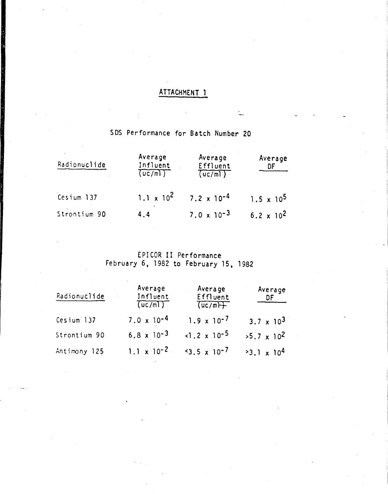## ATTACHMENT 1

í,

## SOS Performance for Batch Number 20

| Radionuclide | Average<br>Influent<br>(uc/m) | Average<br>Effluent<br>(uc/m) | Average<br>DF       |
|--------------|-------------------------------|-------------------------------|---------------------|
| Cesium 137   | $1.1 \times 10^2$             | $7.2 \times 10^{-4}$          | $1.5 \times 10^5$   |
| Strontium 90 | 4.4                           | $7.0 \times 10^{-3}$          | $6.2 \times 10^{2}$ |

### EPICOR II Performance February 6, 1982 to February 15, 1982

| Radionuclide | Average<br>Influent<br>(uc/m) | Average<br>Effluent<br>(uc/m) | Average<br>DF       |
|--------------|-------------------------------|-------------------------------|---------------------|
| Cesium 137   | $7.0 \times 10^{-4}$          | $1.9 \times 10^{-7}$          | $3.7 \times 10^{3}$ |
| Strontium 90 | $6.8 \times 10^{-3}$          | $-1.2 \times 10^{-5}$         | $>5.7 \times 10^2$  |
| Antimony 125 | $1.1 \times 10^{-2}$          | $5.5 \times 10^{-7}$          | $3.1 \times 10^{4}$ |